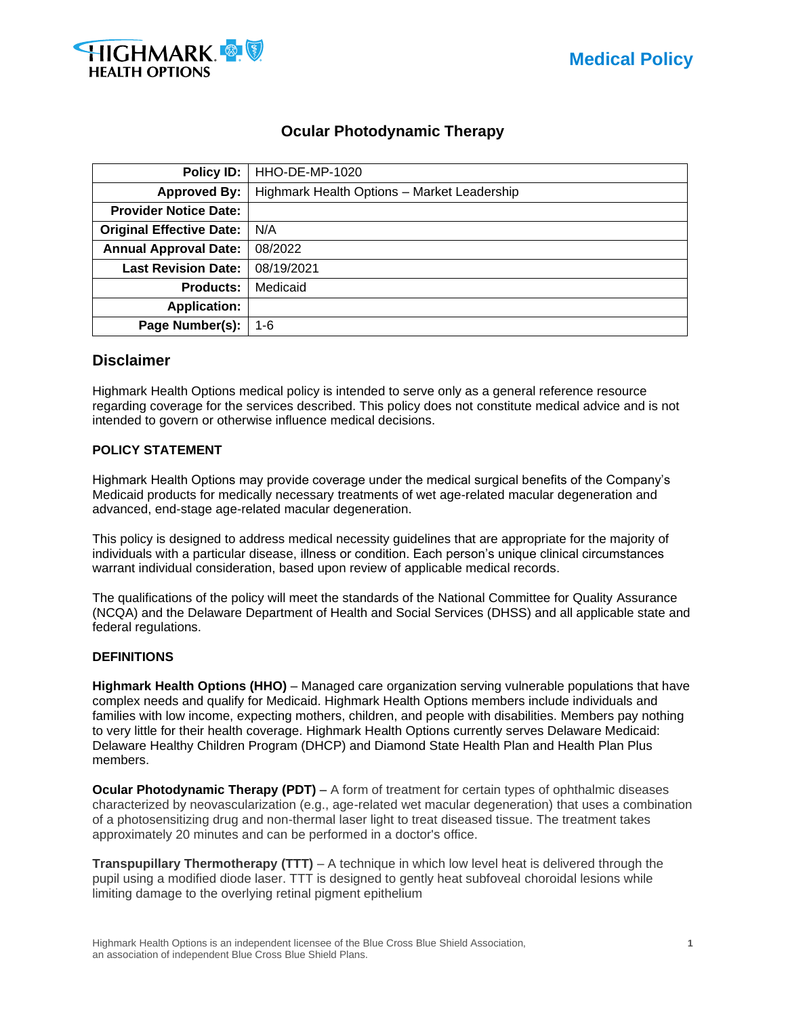

# **Ocular Photodynamic Therapy**

| Policy ID:                      | HHO-DE-MP-1020                              |  |  |
|---------------------------------|---------------------------------------------|--|--|
| <b>Approved By:</b>             | Highmark Health Options - Market Leadership |  |  |
| <b>Provider Notice Date:</b>    |                                             |  |  |
| <b>Original Effective Date:</b> | N/A                                         |  |  |
| <b>Annual Approval Date:</b>    | 08/2022                                     |  |  |
| <b>Last Revision Date:</b>      | 08/19/2021                                  |  |  |
| <b>Products:</b>                | Medicaid                                    |  |  |
| <b>Application:</b>             |                                             |  |  |
| Page Number(s):                 | 1-6                                         |  |  |

## **Disclaimer**

Highmark Health Options medical policy is intended to serve only as a general reference resource regarding coverage for the services described. This policy does not constitute medical advice and is not intended to govern or otherwise influence medical decisions.

## **POLICY STATEMENT**

Highmark Health Options may provide coverage under the medical surgical benefits of the Company's Medicaid products for medically necessary treatments of wet age-related macular degeneration and advanced, end-stage age-related macular degeneration.

This policy is designed to address medical necessity guidelines that are appropriate for the majority of individuals with a particular disease, illness or condition. Each person's unique clinical circumstances warrant individual consideration, based upon review of applicable medical records.

The qualifications of the policy will meet the standards of the National Committee for Quality Assurance (NCQA) and the Delaware Department of Health and Social Services (DHSS) and all applicable state and federal regulations.

## **DEFINITIONS**

**Highmark Health Options (HHO)** – Managed care organization serving vulnerable populations that have complex needs and qualify for Medicaid. Highmark Health Options members include individuals and families with low income, expecting mothers, children, and people with disabilities. Members pay nothing to very little for their health coverage. Highmark Health Options currently serves Delaware Medicaid: Delaware Healthy Children Program (DHCP) and Diamond State Health Plan and Health Plan Plus members.

**Ocular Photodynamic Therapy (PDT)** – A form of treatment for certain types of ophthalmic diseases characterized by neovascularization (e.g., age-related wet macular degeneration) that uses a combination of a photosensitizing drug and non-thermal laser light to treat diseased tissue. The treatment takes approximately 20 minutes and can be performed in a doctor's office.

**Transpupillary Thermotherapy (TTT)** – A technique in which low level heat is delivered through the pupil using a modified diode laser. TTT is designed to gently heat subfoveal choroidal lesions while limiting damage to the overlying retinal pigment epithelium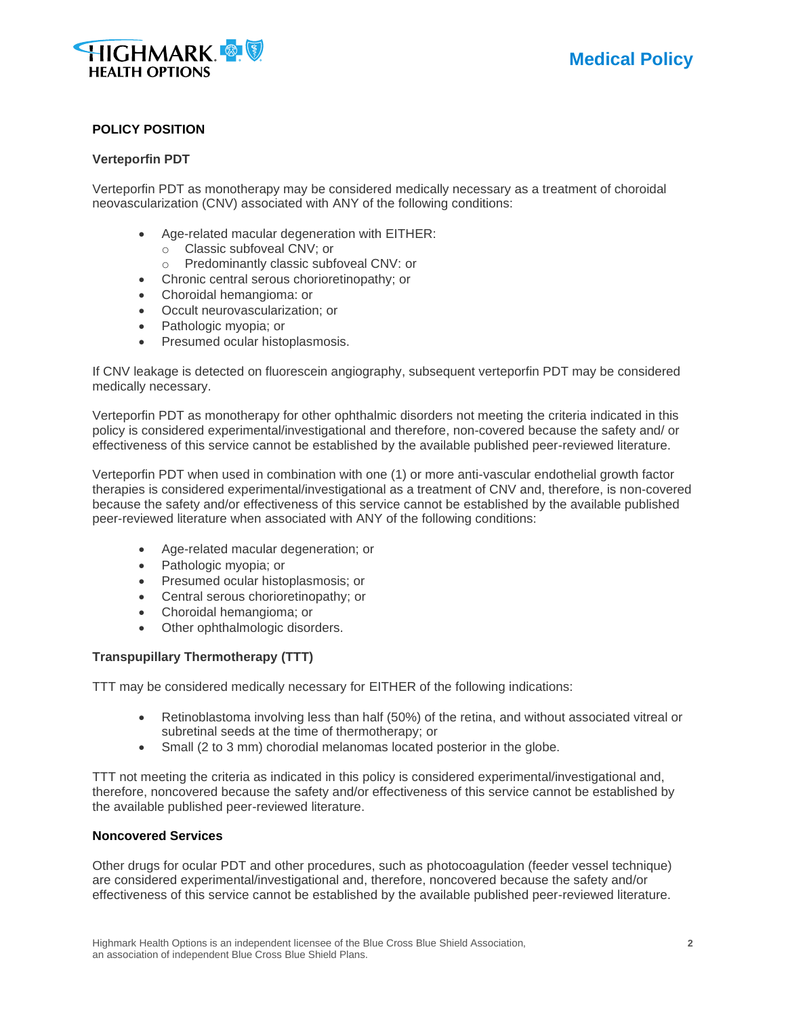

## **POLICY POSITION**

#### **Verteporfin PDT**

Verteporfin PDT as monotherapy may be considered medically necessary as a treatment of choroidal neovascularization (CNV) associated with ANY of the following conditions:

- Age-related macular degeneration with EITHER:
	- o Classic subfoveal CNV; or
	- o Predominantly classic subfoveal CNV: or
- Chronic central serous chorioretinopathy; or
- Choroidal hemangioma: or
- Occult neurovascularization; or
- Pathologic myopia; or
- Presumed ocular histoplasmosis.

If CNV leakage is detected on fluorescein angiography, subsequent verteporfin PDT may be considered medically necessary.

Verteporfin PDT as monotherapy for other ophthalmic disorders not meeting the criteria indicated in this policy is considered experimental/investigational and therefore, non-covered because the safety and/ or effectiveness of this service cannot be established by the available published peer-reviewed literature.

Verteporfin PDT when used in combination with one (1) or more anti-vascular endothelial growth factor therapies is considered experimental/investigational as a treatment of CNV and, therefore, is non-covered because the safety and/or effectiveness of this service cannot be established by the available published peer-reviewed literature when associated with ANY of the following conditions:

- Age-related macular degeneration; or
- Pathologic myopia; or
- Presumed ocular histoplasmosis; or
- Central serous chorioretinopathy; or
- Choroidal hemangioma; or
- Other ophthalmologic disorders.

#### **Transpupillary Thermotherapy (TTT)**

TTT may be considered medically necessary for EITHER of the following indications:

- Retinoblastoma involving less than half (50%) of the retina, and without associated vitreal or subretinal seeds at the time of thermotherapy; or
- Small (2 to 3 mm) chorodial melanomas located posterior in the globe.

TTT not meeting the criteria as indicated in this policy is considered experimental/investigational and, therefore, noncovered because the safety and/or effectiveness of this service cannot be established by the available published peer-reviewed literature.

#### **Noncovered Services**

Other drugs for ocular PDT and other procedures, such as photocoagulation (feeder vessel technique) are considered experimental/investigational and, therefore, noncovered because the safety and/or effectiveness of this service cannot be established by the available published peer-reviewed literature.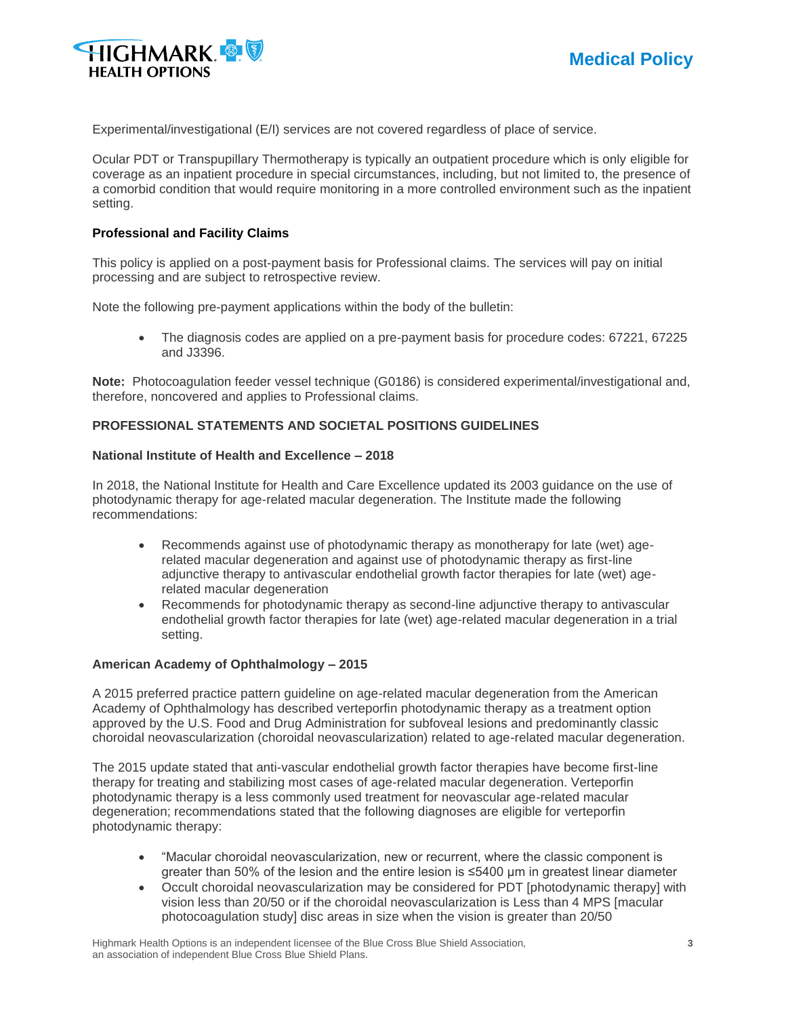



Experimental/investigational (E/I) services are not covered regardless of place of service.

Ocular PDT or Transpupillary Thermotherapy is typically an outpatient procedure which is only eligible for coverage as an inpatient procedure in special circumstances, including, but not limited to, the presence of a comorbid condition that would require monitoring in a more controlled environment such as the inpatient setting.

#### **Professional and Facility Claims**

This policy is applied on a post-payment basis for Professional claims. The services will pay on initial processing and are subject to retrospective review.

Note the following pre-payment applications within the body of the bulletin:

• The diagnosis codes are applied on a pre-payment basis for procedure codes: 67221, 67225 and J3396.

**Note:** Photocoagulation feeder vessel technique (G0186) is considered experimental/investigational and, therefore, noncovered and applies to Professional claims.

## **PROFESSIONAL STATEMENTS AND SOCIETAL POSITIONS GUIDELINES**

#### **National Institute of Health and Excellence – 2018**

In 2018, the National Institute for Health and Care Excellence updated its 2003 guidance on the use of photodynamic therapy for age-related macular degeneration. The Institute made the following recommendations:

- Recommends against use of photodynamic therapy as monotherapy for late (wet) agerelated macular degeneration and against use of photodynamic therapy as first-line adjunctive therapy to antivascular endothelial growth factor therapies for late (wet) agerelated macular degeneration
- Recommends for photodynamic therapy as second-line adjunctive therapy to antivascular endothelial growth factor therapies for late (wet) age-related macular degeneration in a trial setting.

#### **American Academy of Ophthalmology – 2015**

A 2015 preferred practice pattern guideline on age-related macular degeneration from the American Academy of Ophthalmology has described verteporfin photodynamic therapy as a treatment option approved by the U.S. Food and Drug Administration for subfoveal lesions and predominantly classic choroidal neovascularization (choroidal neovascularization) related to age-related macular degeneration.

The 2015 update stated that anti-vascular endothelial growth factor therapies have become first-line therapy for treating and stabilizing most cases of age-related macular degeneration. Verteporfin photodynamic therapy is a less commonly used treatment for neovascular age-related macular degeneration; recommendations stated that the following diagnoses are eligible for verteporfin photodynamic therapy:

- "Macular choroidal neovascularization, new or recurrent, where the classic component is greater than 50% of the lesion and the entire lesion is ≤5400 μm in greatest linear diameter
- Occult choroidal neovascularization may be considered for PDT [photodynamic therapy] with vision less than 20/50 or if the choroidal neovascularization is Less than 4 MPS [macular photocoagulation study] disc areas in size when the vision is greater than 20/50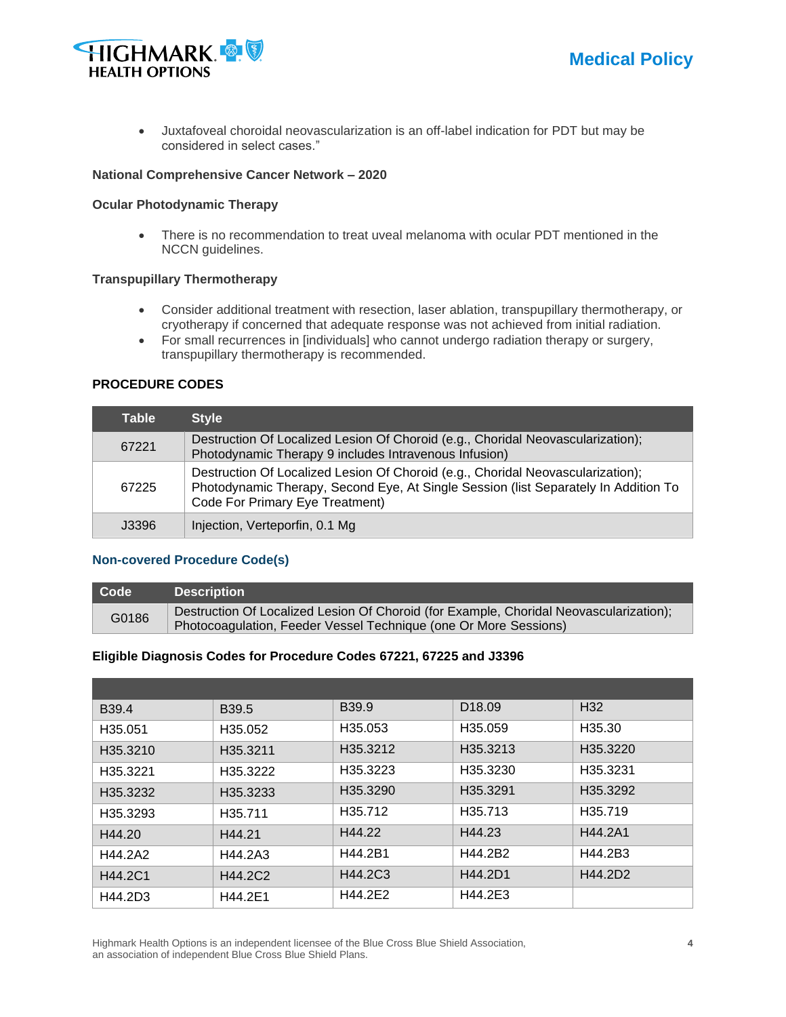

• Juxtafoveal choroidal neovascularization is an off-label indication for PDT but may be considered in select cases."

#### **National Comprehensive Cancer Network – 2020**

#### **Ocular Photodynamic Therapy**

• There is no recommendation to treat uveal melanoma with ocular PDT mentioned in the NCCN guidelines.

#### **Transpupillary Thermotherapy**

- Consider additional treatment with resection, laser ablation, transpupillary thermotherapy, or cryotherapy if concerned that adequate response was not achieved from initial radiation.
- For small recurrences in [individuals] who cannot undergo radiation therapy or surgery, transpupillary thermotherapy is recommended.

### **PROCEDURE CODES**

| <b>Table</b> | <b>Style</b>                                                                                                                                                                                              |  |
|--------------|-----------------------------------------------------------------------------------------------------------------------------------------------------------------------------------------------------------|--|
| 67221        | Destruction Of Localized Lesion Of Choroid (e.g., Choridal Neovascularization);<br>Photodynamic Therapy 9 includes Intravenous Infusion)                                                                  |  |
| 67225        | Destruction Of Localized Lesion Of Choroid (e.g., Choridal Neovascularization);<br>Photodynamic Therapy, Second Eye, At Single Session (list Separately In Addition To<br>Code For Primary Eye Treatment) |  |
| J3396        | Injection, Verteporfin, 0.1 Mg                                                                                                                                                                            |  |

#### **Non-covered Procedure Code(s)**

| Code  | <b>Description</b>                                                                                                                                         |
|-------|------------------------------------------------------------------------------------------------------------------------------------------------------------|
| G0186 | Destruction Of Localized Lesion Of Choroid (for Example, Choridal Neovascularization);<br>Photocoagulation, Feeder Vessel Technique (one Or More Sessions) |

#### **Eligible Diagnosis Codes for Procedure Codes 67221, 67225 and J3396**

| B39.4                | B39.5                | B39.9                | D <sub>18.09</sub>   | H <sub>32</sub>      |
|----------------------|----------------------|----------------------|----------------------|----------------------|
| H <sub>35.051</sub>  | H <sub>35.052</sub>  | H35.053              | H35.059              | H <sub>35.30</sub>   |
| H <sub>35.3210</sub> | H <sub>35.3211</sub> | H <sub>35.3212</sub> | H <sub>35.3213</sub> | H <sub>35.3220</sub> |
| H35.3221             | H35.3222             | H <sub>35.3223</sub> | H35.3230             | H35.3231             |
| H <sub>35.3232</sub> | H35.3233             | H <sub>35.3290</sub> | H35.3291             | H <sub>35.3292</sub> |
| H35.3293             | H <sub>35.711</sub>  | H35.712              | H35.713              | H35.719              |
| H44.20               | H44.21               | H44.22               | H44.23               | H44.2A1              |
| H44.2A2              | H44.2A3              | H44.2B1              | H44.2B2              | H44.2B3              |
| H44.2C1              | H44.2C2              | H44.2C3              | H44.2D1              | H44.2D2              |
| H44.2D3              | H44.2E1              | H44.2E2              | H44.2E3              |                      |

Highmark Health Options is an independent licensee of the Blue Cross Blue Shield Association, **4** an association of independent Blue Cross Blue Shield Plans.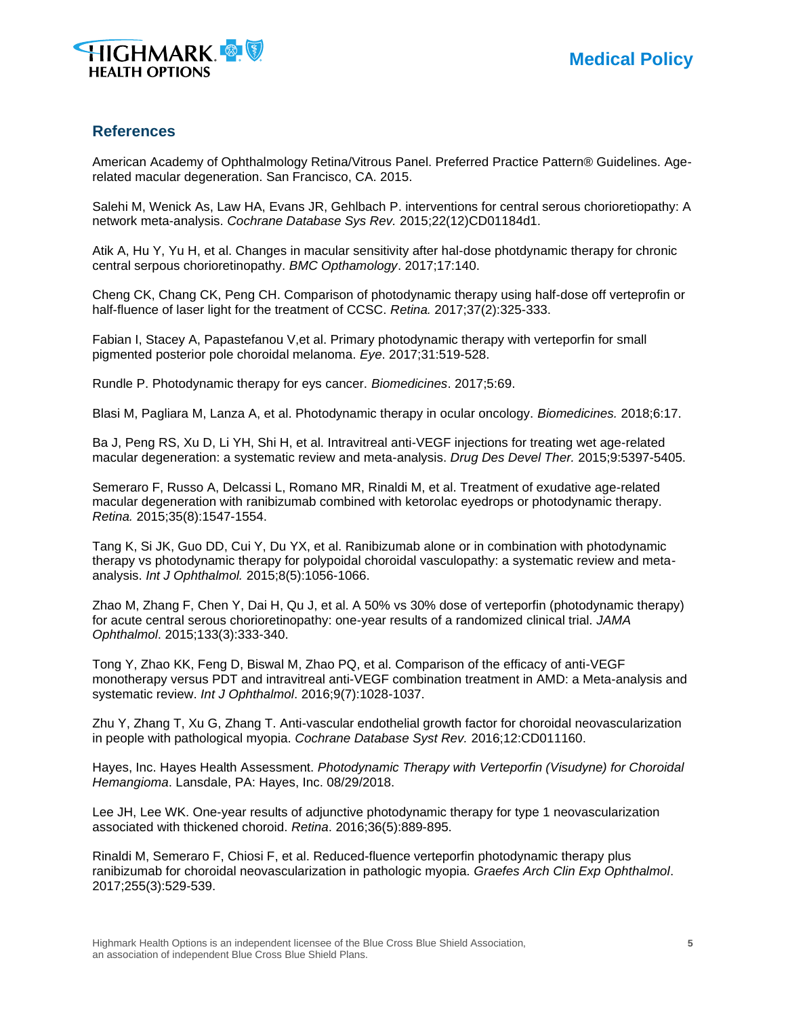

## **References**

American Academy of Ophthalmology Retina/Vitrous Panel. Preferred Practice Pattern® Guidelines. Agerelated macular degeneration. San Francisco, CA. 2015.

Salehi M, Wenick As, Law HA, Evans JR, Gehlbach P. interventions for central serous chorioretiopathy: A network meta-analysis. *Cochrane Database Sys Rev.* 2015;22(12)CD01184d1.

Atik A, Hu Y, Yu H, et al. Changes in macular sensitivity after hal-dose photdynamic therapy for chronic central serpous chorioretinopathy. *BMC Opthamology*. 2017;17:140.

Cheng CK, Chang CK, Peng CH. Comparison of photodynamic therapy using half-dose off verteprofin or half-fluence of laser light for the treatment of CCSC. *Retina.* 2017;37(2):325-333.

Fabian I, Stacey A, Papastefanou V,et al. Primary photodynamic therapy with verteporfin for small pigmented posterior pole choroidal melanoma. *Eye*. 2017;31:519-528.

Rundle P. Photodynamic therapy for eys cancer. *Biomedicines*. 2017;5:69.

Blasi M, Pagliara M, Lanza A, et al. Photodynamic therapy in ocular oncology. *Biomedicines.* 2018;6:17.

Ba J, Peng RS, Xu D, Li YH, Shi H, et al. Intravitreal anti-VEGF injections for treating wet age-related macular degeneration: a systematic review and meta-analysis. *Drug Des Devel Ther.* 2015;9:5397-5405.

Semeraro F, Russo A, Delcassi L, Romano MR, Rinaldi M, et al. Treatment of exudative age-related macular degeneration with ranibizumab combined with ketorolac eyedrops or photodynamic therapy. *Retina.* 2015;35(8):1547-1554.

Tang K, Si JK, Guo DD, Cui Y, Du YX, et al. Ranibizumab alone or in combination with photodynamic therapy vs photodynamic therapy for polypoidal choroidal vasculopathy: a systematic review and metaanalysis. *Int J Ophthalmol.* 2015;8(5):1056-1066.

Zhao M, Zhang F, Chen Y, Dai H, Qu J, et al. A 50% vs 30% dose of verteporfin (photodynamic therapy) for acute central serous chorioretinopathy: one-year results of a randomized clinical trial. *JAMA Ophthalmol*. 2015;133(3):333-340.

Tong Y, Zhao KK, Feng D, Biswal M, Zhao PQ, et al. Comparison of the efficacy of anti-VEGF monotherapy versus PDT and intravitreal anti-VEGF combination treatment in AMD: a Meta-analysis and systematic review. *Int J Ophthalmol*. 2016;9(7):1028-1037.

Zhu Y, Zhang T, Xu G, Zhang T. Anti-vascular endothelial growth factor for choroidal neovascularization in people with pathological myopia. *Cochrane Database Syst Rev.* 2016;12:CD011160.

Hayes, Inc. Hayes Health Assessment. *Photodynamic Therapy with Verteporfin (Visudyne) for Choroidal Hemangioma*. Lansdale, PA: Hayes, Inc. 08/29/2018.

Lee JH, Lee WK. One-year results of adjunctive photodynamic therapy for type 1 neovascularization associated with thickened choroid. *Retina*. 2016;36(5):889-895.

Rinaldi M, Semeraro F, Chiosi F, et al. Reduced-fluence verteporfin photodynamic therapy plus ranibizumab for choroidal neovascularization in pathologic myopia. *Graefes Arch Clin Exp Ophthalmol*. 2017;255(3):529-539.